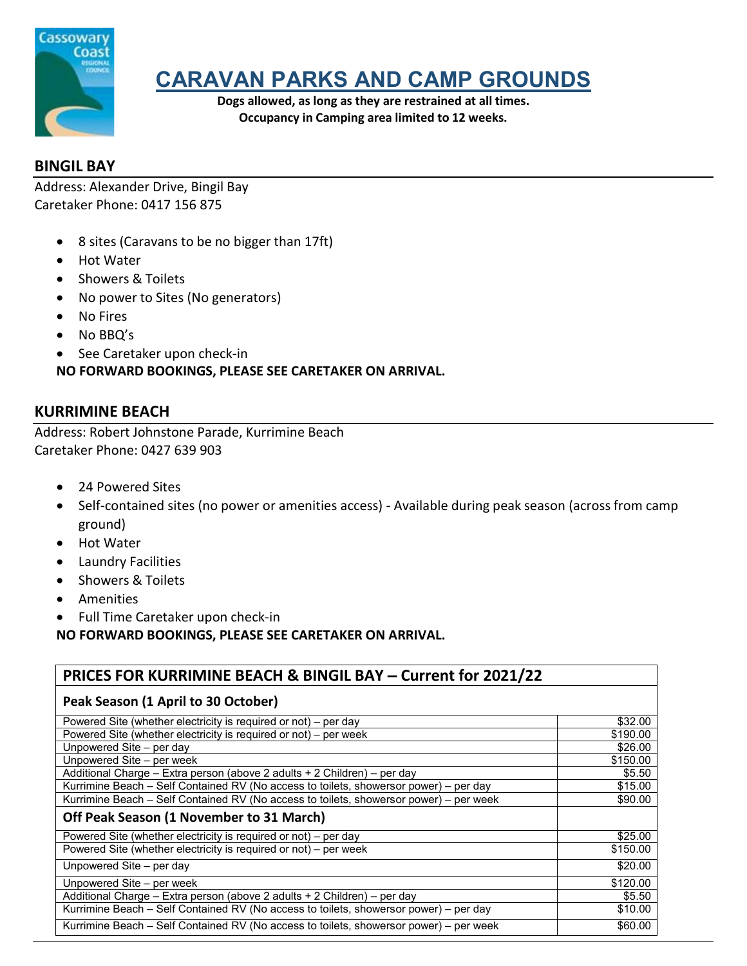

# **CARAVAN PARKS AND CAMP GROUNDS**

**Dogs allowed, as long as they are restrained at all times. Occupancy in Camping area limited to 12 weeks.**

## **BINGIL BAY**

Address: Alexander Drive, Bingil Bay Caretaker Phone: 0417 156 875

- 8 sites (Caravans to be no bigger than 17ft)
- Hot Water
- Showers & Toilets
- No power to Sites (No generators)
- No Fires
- No BBQ's
- See Caretaker upon check-in

**NO FORWARD BOOKINGS, PLEASE SEE CARETAKER ON ARRIVAL.**

### **KURRIMINE BEACH**

Address: Robert Johnstone Parade, Kurrimine Beach Caretaker Phone: 0427 639 903

- 24 Powered Sites
- Self-contained sites (no power or amenities access) Available during peak season (across from camp ground)
- Hot Water
- Laundry Facilities
- Showers & Toilets
- Amenities
- Full Time Caretaker upon check-in

**NO FORWARD BOOKINGS, PLEASE SEE CARETAKER ON ARRIVAL.**

#### **PRICES FOR KURRIMINE BEACH & BINGIL BAY – Current for 2021/22**

| Peak Season (1 April to 30 October)                                                    |          |
|----------------------------------------------------------------------------------------|----------|
| Powered Site (whether electricity is required or not) – per day                        | \$32.00  |
| Powered Site (whether electricity is required or not) – per week                       | \$190.00 |
| Unpowered Site – per day                                                               | \$26.00  |
| Unpowered Site - per week                                                              | \$150.00 |
| Additional Charge - Extra person (above 2 adults + 2 Children) - per day               | \$5.50   |
| Kurrimine Beach - Self Contained RV (No access to toilets, showersor power) - per day  | \$15.00  |
| Kurrimine Beach - Self Contained RV (No access to toilets, showersor power) - per week | \$90.00  |
| Off Peak Season (1 November to 31 March)                                               |          |
| Powered Site (whether electricity is required or not) – per day                        | \$25.00  |
| Powered Site (whether electricity is required or not) – per week                       | \$150.00 |
| Unpowered Site – per day                                                               | \$20.00  |
| Unpowered Site - per week                                                              | \$120.00 |
| Additional Charge - Extra person (above 2 adults + 2 Children) - per day               | \$5.50   |
| Kurrimine Beach - Self Contained RV (No access to toilets, showersor power) - per day  | \$10.00  |
| Kurrimine Beach - Self Contained RV (No access to toilets, showersor power) - per week | \$60.00  |